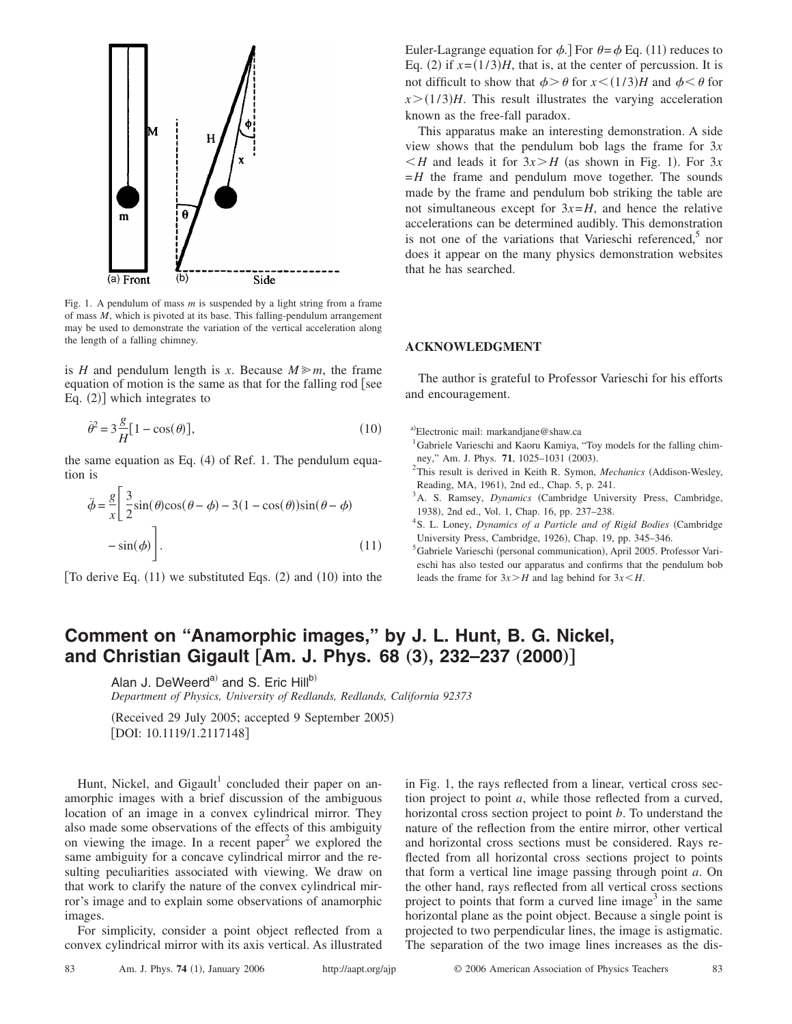## **Comment on "Anamorphic images," by J. L. Hunt, B. G. Nickel, and Christian Gigault [Am. J. Phys. 68 (3), 232–237 (2000)]**

Alan J. DeWeerd<sup>a)</sup> and S. Eric Hill<sup>b)</sup>

*Department of Physics, University of Redlands, Redlands, California 92373*

(Received 29 July 2005; accepted 9 September 2005) [DOI: 10.1119/1.2117148]

Hunt, Nickel, and Gigault<sup>1</sup> concluded their paper on anamorphic images with a brief discussion of the ambiguous location of an image in a convex cylindrical mirror. They also made some observations of the effects of this ambiguity on viewing the image. In a recent paper<sup>2</sup> we explored the same ambiguity for a concave cylindrical mirror and the resulting peculiarities associated with viewing. We draw on that work to clarify the nature of the convex cylindrical mirror's image and to explain some observations of anamorphic images.

For simplicity, consider a point object reflected from a convex cylindrical mirror with its axis vertical. As illustrated in Fig. 1, the rays reflected from a linear, vertical cross section project to point *a*, while those reflected from a curved, horizontal cross section project to point *b*. To understand the nature of the reflection from the entire mirror, other vertical and horizontal cross sections must be considered. Rays reflected from all horizontal cross sections project to points that form a vertical line image passing through point *a*. On the other hand, rays reflected from all vertical cross sections project to points that form a curved line image<sup>3</sup> in the same horizontal plane as the point object. Because a single point is projected to two perpendicular lines, the image is astigmatic. The separation of the two image lines increases as the dis-